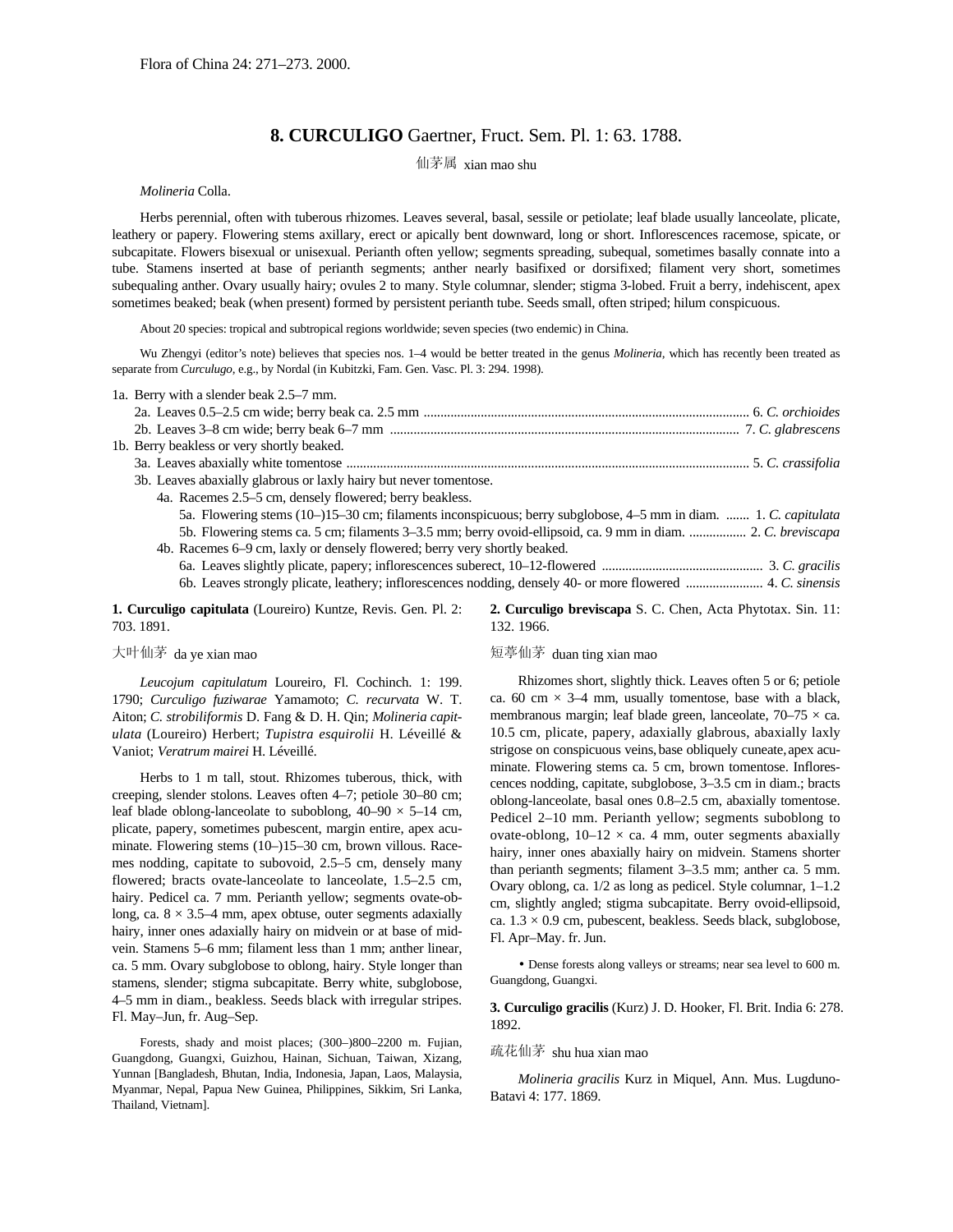# **8. CURCULIGO** Gaertner, Fruct. Sem. Pl. 1: 63. 1788.

仙茅属 xian mao shu

*Molineria* Colla.

Herbs perennial, often with tuberous rhizomes. Leaves several, basal, sessile or petiolate; leaf blade usually lanceolate, plicate, leathery or papery. Flowering stems axillary, erect or apically bent downward, long or short. Inflorescences racemose, spicate, or subcapitate. Flowers bisexual or unisexual. Perianth often yellow; segments spreading, subequal, sometimes basally connate into a tube. Stamens inserted at base of perianth segments; anther nearly basifixed or dorsifixed; filament very short, sometimes subequaling anther. Ovary usually hairy; ovules 2 to many. Style columnar, slender; stigma 3-lobed. Fruit a berry, indehiscent, apex sometimes beaked; beak (when present) formed by persistent perianth tube. Seeds small, often striped; hilum conspicuous.

About 20 species: tropical and subtropical regions worldwide; seven species (two endemic) in China.

Wu Zhengyi (editor's note) believes that species nos. 1–4 would be better treated in the genus *Molineria*, which has recently been treated as separate from *Curculugo,* e.g., by Nordal (in Kubitzki, Fam. Gen. Vasc. Pl. 3: 294. 1998).

| 1a. Berry with a slender beak 2.5–7 mm.                                                                         |
|-----------------------------------------------------------------------------------------------------------------|
|                                                                                                                 |
|                                                                                                                 |
| 1b. Berry beakless or very shortly beaked.                                                                      |
|                                                                                                                 |
| 3b. Leaves abaxially glabrous or laxly hairy but never tomentose.                                               |
| 4a. Racemes 2.5–5 cm, densely flowered; berry beakless.                                                         |
| 5a. Flowering stems (10–)15–30 cm; filaments inconspicuous; berry subglobose, 4–5 mm in diam.  1. C. capitulata |
| 5b. Flowering stems ca. 5 cm; filaments 3–3.5 mm; berry ovoid-ellipsoid, ca. 9 mm in diam.  2. C. breviscapa    |
| 4b. Racemes 6–9 cm, laxly or densely flowered; berry very shortly beaked.                                       |
|                                                                                                                 |
|                                                                                                                 |
|                                                                                                                 |

**1. Curculigo capitulata** (Loureiro) Kuntze, Revis. Gen. Pl. 2: 703. 1891.

## 大叶仙茅 da ye xian mao

*Leucojum capitulatum* Loureiro, Fl. Cochinch. 1: 199. 1790; *Curculigo fuziwarae* Yamamoto; *C. recurvata* W. T. Aiton; *C. strobiliformis* D. Fang & D. H. Qin; *Molineria capitulata* (Loureiro) Herbert; *Tupistra esquirolii* H. Léveillé & Vaniot; *Veratrum mairei* H. Léveillé.

Herbs to 1 m tall, stout. Rhizomes tuberous, thick, with creeping, slender stolons. Leaves often 4–7; petiole 30–80 cm; leaf blade oblong-lanceolate to suboblong,  $40-90 \times 5-14$  cm, plicate, papery, sometimes pubescent, margin entire, apex acuminate. Flowering stems (10–)15–30 cm, brown villous. Racemes nodding, capitate to subovoid, 2.5–5 cm, densely many flowered; bracts ovate-lanceolate to lanceolate, 1.5–2.5 cm, hairy. Pedicel ca. 7 mm. Perianth yellow; segments ovate-oblong, ca.  $8 \times 3.5-4$  mm, apex obtuse, outer segments adaxially hairy, inner ones adaxially hairy on midvein or at base of midvein. Stamens 5–6 mm; filament less than 1 mm; anther linear, ca. 5 mm. Ovary subglobose to oblong, hairy. Style longer than stamens, slender; stigma subcapitate. Berry white, subglobose, 4–5 mm in diam., beakless. Seeds black with irregular stripes. Fl. May–Jun, fr. Aug–Sep.

Forests, shady and moist places; (300–)800–2200 m. Fujian, Guangdong, Guangxi, Guizhou, Hainan, Sichuan, Taiwan, Xizang, Yunnan [Bangladesh, Bhutan, India, Indonesia, Japan, Laos, Malaysia, Myanmar, Nepal, Papua New Guinea, Philippines, Sikkim, Sri Lanka, Thailand, Vietnam].

**2. Curculigo breviscapa** S. C. Chen, Acta Phytotax. Sin. 11: 132. 1966.

# 短葶仙茅 duan ting xian mao

Rhizomes short, slightly thick. Leaves often 5 or 6; petiole ca. 60 cm  $\times$  3–4 mm, usually tomentose, base with a black, membranous margin; leaf blade green, lanceolate,  $70-75 \times ca$ . 10.5 cm, plicate, papery, adaxially glabrous, abaxially laxly strigose on conspicuous veins, base obliquely cuneate,apex acuminate. Flowering stems ca. 5 cm, brown tomentose. Inflorescences nodding, capitate, subglobose, 3–3.5 cm in diam.; bracts oblong-lanceolate, basal ones 0.8–2.5 cm, abaxially tomentose. Pedicel 2–10 mm. Perianth yellow; segments suboblong to ovate-oblong,  $10-12 \times$  ca. 4 mm, outer segments abaxially hairy, inner ones abaxially hairy on midvein. Stamens shorter than perianth segments; filament 3–3.5 mm; anther ca. 5 mm. Ovary oblong, ca. 1/2 as long as pedicel. Style columnar, 1–1.2 cm, slightly angled; stigma subcapitate. Berry ovoid-ellipsoid, ca.  $1.3 \times 0.9$  cm, pubescent, beakless. Seeds black, subglobose, Fl. Apr–May. fr. Jun.

• Dense forests along valleys or streams; near sea level to 600 m. Guangdong, Guangxi.

**3. Curculigo gracilis** (Kurz) J. D. Hooker, Fl. Brit. India 6: 278. 1892.

## 疏花仙茅 shu hua xian mao

*Molineria gracilis* Kurz in Miquel, Ann. Mus. Lugduno-Batavi 4: 177. 1869.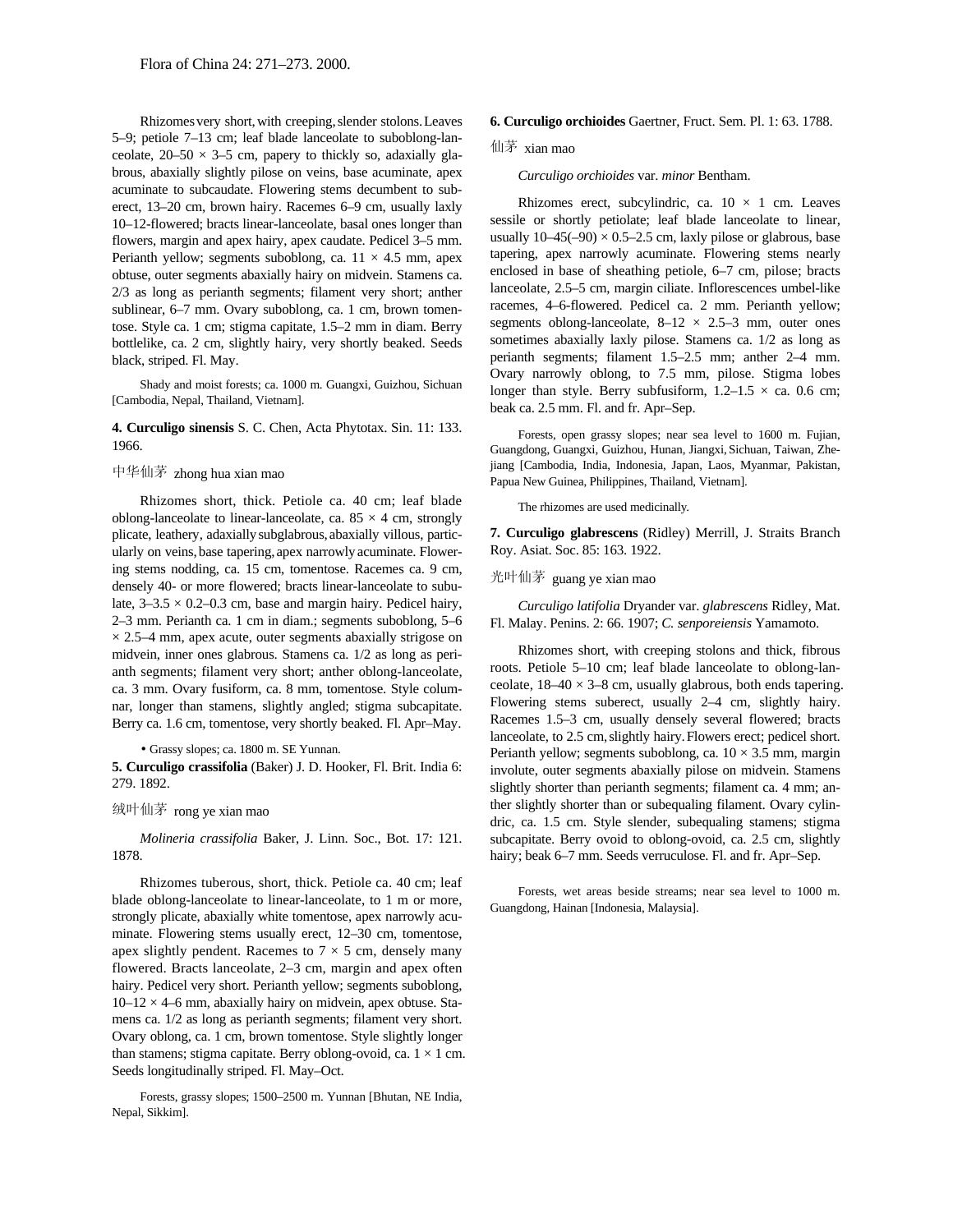5–9; petiole 7–13 cm; leaf blade lanceolate to suboblong-lanceolate,  $20-50 \times 3-5$  cm, papery to thickly so, adaxially glabrous, abaxially slightly pilose on veins, base acuminate, apex acuminate to subcaudate. Flowering stems decumbent to suberect, 13–20 cm, brown hairy. Racemes 6–9 cm, usually laxly 10–12-flowered; bracts linear-lanceolate, basal ones longer than flowers, margin and apex hairy, apex caudate. Pedicel 3–5 mm. Perianth yellow; segments suboblong, ca.  $11 \times 4.5$  mm, apex obtuse, outer segments abaxially hairy on midvein. Stamens ca. 2/3 as long as perianth segments; filament very short; anther sublinear, 6–7 mm. Ovary suboblong, ca. 1 cm, brown tomentose. Style ca. 1 cm; stigma capitate, 1.5–2 mm in diam. Berry bottlelike, ca. 2 cm, slightly hairy, very shortly beaked. Seeds black, striped. Fl. May.

Shady and moist forests; ca. 1000 m. Guangxi, Guizhou, Sichuan [Cambodia, Nepal, Thailand, Vietnam].

**4. Curculigo sinensis** S. C. Chen, Acta Phytotax. Sin. 11: 133. 4. Curcungo sinensis S. C. Chen, Acta Phytotax. Sin. 11: 155. Forests, open grassy slopes; near sea level to 1600 m. Fujian, 1966.

Rhizomes short, thick. Petiole ca. 40 cm; leaf blade oblong-lanceolate to linear-lanceolate, ca.  $85 \times 4$  cm, strongly plicate, leathery, adaxiallysubglabrous, abaxially villous, particularly on veins,base tapering, apex narrowly acuminate. Flowering stems nodding, ca. 15 cm, tomentose. Racemes ca. 9 cm, densely 40- or more flowered; bracts linear-lanceolate to subulate,  $3-3.5 \times 0.2-0.3$  cm, base and margin hairy. Pedicel hairy, 2–3 mm. Perianth ca. 1 cm in diam.; segments suboblong, 5–6  $\times$  2.5–4 mm, apex acute, outer segments abaxially strigose on midvein, inner ones glabrous. Stamens ca. 1/2 as long as perianth segments; filament very short; anther oblong-lanceolate, ca. 3 mm. Ovary fusiform, ca. 8 mm, tomentose. Style columnar, longer than stamens, slightly angled; stigma subcapitate. Berry ca. 1.6 cm, tomentose, very shortly beaked. Fl. Apr–May.

• Grassy slopes; ca. 1800 m. SE Yunnan.

**5. Curculigo crassifolia** (Baker) J. D. Hooker, Fl. Brit. India 6: 279. 1892.

## 绒叶仙茅 rong ye xian mao

*Molineria crassifolia* Baker, J. Linn. Soc., Bot. 17: 121. 1878.

Rhizomes tuberous, short, thick. Petiole ca. 40 cm; leaf blade oblong-lanceolate to linear-lanceolate, to 1 m or more, strongly plicate, abaxially white tomentose, apex narrowly acuminate. Flowering stems usually erect, 12–30 cm, tomentose, apex slightly pendent. Racemes to  $7 \times 5$  cm, densely many flowered. Bracts lanceolate, 2–3 cm, margin and apex often hairy. Pedicel very short. Perianth yellow; segments suboblong,  $10-12 \times 4$ –6 mm, abaxially hairy on midvein, apex obtuse. Stamens ca. 1/2 as long as perianth segments; filament very short. Ovary oblong, ca. 1 cm, brown tomentose. Style slightly longer than stamens; stigma capitate. Berry oblong-ovoid, ca.  $1 \times 1$  cm. Seeds longitudinally striped. Fl. May–Oct.

Forests, grassy slopes; 1500–2500 m. Yunnan [Bhutan, NE India, Nepal, Sikkim].

#### Rhizomesvery short,with creeping,slender stolons.Leaves **6. Curculigo orchioides** Gaertner, Fruct. Sem. Pl. 1: 63. 1788.

### 仙茅 xian mao

#### *Curculigo orchioides* var. *minor* Bentham.

Rhizomes erect, subcylindric, ca.  $10 \times 1$  cm. Leaves sessile or shortly petiolate; leaf blade lanceolate to linear, usually  $10-45(-90) \times 0.5-2.5$  cm, laxly pilose or glabrous, base tapering, apex narrowly acuminate. Flowering stems nearly enclosed in base of sheathing petiole, 6–7 cm, pilose; bracts lanceolate, 2.5–5 cm, margin ciliate. Inflorescences umbel-like racemes, 4–6-flowered. Pedicel ca. 2 mm. Perianth yellow; segments oblong-lanceolate,  $8-12 \times 2.5-3$  mm, outer ones sometimes abaxially laxly pilose. Stamens ca. 1/2 as long as perianth segments; filament 1.5–2.5 mm; anther 2–4 mm. Ovary narrowly oblong, to 7.5 mm, pilose. Stigma lobes longer than style. Berry subfusiform,  $1.2-1.5 \times$  ca. 0.6 cm; beak ca. 2.5 mm. Fl. and fr. Apr–Sep.

Guangdong, Guangxi, Guizhou, Hunan, Jiangxi,Sichuan, Taiwan, Zhejiang [Cambodia, India, Indonesia, Japan, Laos, Myanmar, Pakistan, 中华仙茅 zhong hua xian mao<br>Papua New Guinea, Philippines, Thailand, Vietnam].

The rhizomes are used medicinally.

**7. Curculigo glabrescens** (Ridley) Merrill, J. Straits Branch Roy. Asiat. Soc. 85: 163. 1922.

# 光叶仙茅 guang ye xian mao

*Curculigo latifolia* Dryander var. *glabrescens* Ridley, Mat. Fl. Malay. Penins. 2: 66. 1907; *C. senporeiensis* Yamamoto.

Rhizomes short, with creeping stolons and thick, fibrous roots. Petiole 5–10 cm; leaf blade lanceolate to oblong-lanceolate,  $18-40 \times 3-8$  cm, usually glabrous, both ends tapering. Flowering stems suberect, usually 2–4 cm, slightly hairy. Racemes 1.5–3 cm, usually densely several flowered; bracts lanceolate, to 2.5 cm,slightly hairy.Flowers erect; pedicel short. Perianth yellow; segments suboblong, ca.  $10 \times 3.5$  mm, margin involute, outer segments abaxially pilose on midvein. Stamens slightly shorter than perianth segments; filament ca. 4 mm; anther slightly shorter than or subequaling filament. Ovary cylindric, ca. 1.5 cm. Style slender, subequaling stamens; stigma subcapitate. Berry ovoid to oblong-ovoid, ca. 2.5 cm, slightly hairy; beak 6–7 mm. Seeds verruculose. Fl. and fr. Apr–Sep.

Forests, wet areas beside streams; near sea level to 1000 m. Guangdong, Hainan [Indonesia, Malaysia].